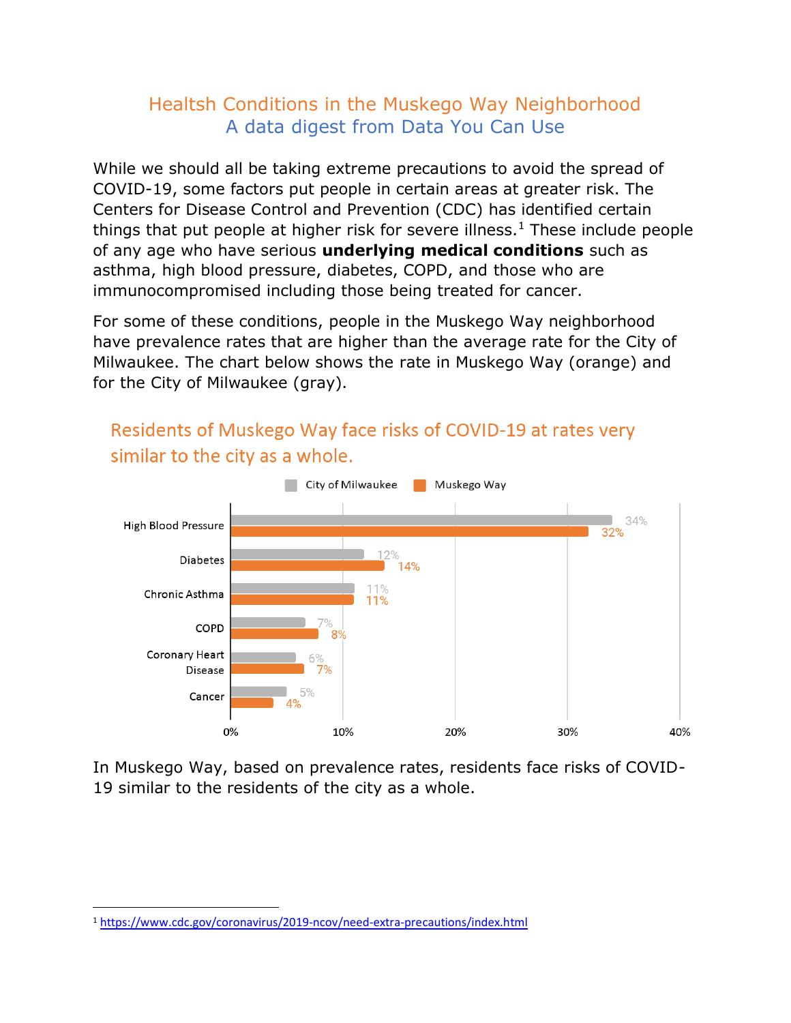## Healtsh Conditions in the Muskego Way Neighborhood A data digest from Data You Can Use

While we should all be taking extreme precautions to avoid the spread of COVID-19, some factors put people in certain areas at greater risk. The Centers for Disease Control and Prevention (CDC) has identified certain things that put people at higher risk for severe illness.<sup>1</sup> These include people of any age who have serious **underlying medical conditions** such as asthma, high blood pressure, diabetes, COPD, and those who are immunocompromised including those being treated for cancer.

For some of these conditions, people in the Muskego Way neighborhood have prevalence rates that are higher than the average rate for the City of Milwaukee. The chart below shows the rate in Muskego Way (orange) and for the City of Milwaukee (gray).



Residents of Muskego Way face risks of COVID-19 at rates very similar to the city as a whole.

In Muskego Way, based on prevalence rates, residents face risks of COVID-19 similar to the residents of the city as a whole.

<sup>1</sup> <https://www.cdc.gov/coronavirus/2019-ncov/need-extra-precautions/index.html>